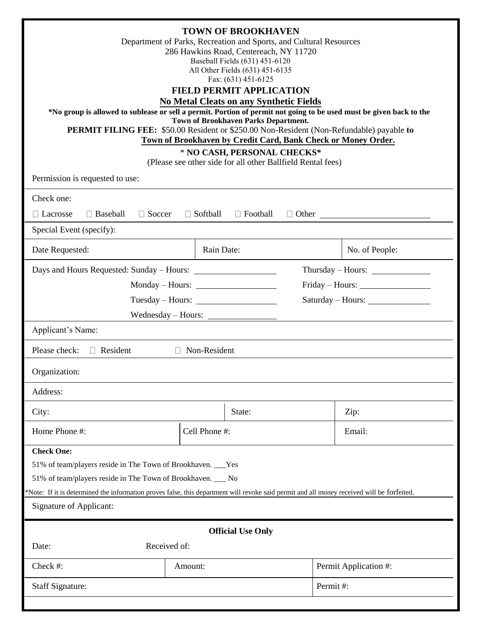| <b>TOWN OF BROOKHAVEN</b><br>Department of Parks, Recreation and Sports, and Cultural Resources<br>286 Hawkins Road, Centereach, NY 11720<br>Baseball Fields (631) 451-6120<br>All Other Fields (631) 451-6135<br>Fax: (631) 451-6125<br><b>FIELD PERMIT APPLICATION</b><br><b>No Metal Cleats on any Synthetic Fields</b><br>*No group is allowed to sublease or sell a permit. Portion of permit not going to be used must be given back to the<br>Town of Brookhaven Parks Department.<br><b>PERMIT FILING FEE:</b> \$50.00 Resident or \$250.00 Non-Resident (Non-Refundable) payable to<br>Town of Brookhaven by Credit Card, Bank Check or Money Order.<br>* NO CASH, PERSONAL CHECKS*<br>(Please see other side for all other Ballfield Rental fees) |               |                       |
|-------------------------------------------------------------------------------------------------------------------------------------------------------------------------------------------------------------------------------------------------------------------------------------------------------------------------------------------------------------------------------------------------------------------------------------------------------------------------------------------------------------------------------------------------------------------------------------------------------------------------------------------------------------------------------------------------------------------------------------------------------------|---------------|-----------------------|
| Permission is requested to use:                                                                                                                                                                                                                                                                                                                                                                                                                                                                                                                                                                                                                                                                                                                             |               |                       |
| Check one:<br>$\Box$ Baseball<br>□ Soccer<br>$\Box$ Softball<br>$\Box$ Football<br>$\Box$ Lacrosse<br>Special Event (specify):                                                                                                                                                                                                                                                                                                                                                                                                                                                                                                                                                                                                                              |               |                       |
| Date Requested:                                                                                                                                                                                                                                                                                                                                                                                                                                                                                                                                                                                                                                                                                                                                             | Rain Date:    | No. of People:        |
| Days and Hours Requested: Sunday – Hours:                                                                                                                                                                                                                                                                                                                                                                                                                                                                                                                                                                                                                                                                                                                   |               | Thursday – Hours:     |
| Monday – Hours:                                                                                                                                                                                                                                                                                                                                                                                                                                                                                                                                                                                                                                                                                                                                             |               |                       |
| Tuesday – Hours:                                                                                                                                                                                                                                                                                                                                                                                                                                                                                                                                                                                                                                                                                                                                            |               | Saturday – Hours:     |
|                                                                                                                                                                                                                                                                                                                                                                                                                                                                                                                                                                                                                                                                                                                                                             |               |                       |
| Applicant's Name:                                                                                                                                                                                                                                                                                                                                                                                                                                                                                                                                                                                                                                                                                                                                           |               |                       |
| $\Box$ Non-Resident<br>Please check:<br>$\Box$ Resident                                                                                                                                                                                                                                                                                                                                                                                                                                                                                                                                                                                                                                                                                                     |               |                       |
| Organization:                                                                                                                                                                                                                                                                                                                                                                                                                                                                                                                                                                                                                                                                                                                                               |               |                       |
| Address:                                                                                                                                                                                                                                                                                                                                                                                                                                                                                                                                                                                                                                                                                                                                                    |               |                       |
| City:                                                                                                                                                                                                                                                                                                                                                                                                                                                                                                                                                                                                                                                                                                                                                       | State:        | Zip:                  |
| Home Phone #:                                                                                                                                                                                                                                                                                                                                                                                                                                                                                                                                                                                                                                                                                                                                               | Cell Phone #: | Email:                |
| <b>Check One:</b><br>51% of team/players reside in The Town of Brookhaven. ___Yes<br>51% of team/players reside in The Town of Brookhaven. ___ No<br>*Note: If it is determined the information proves false, this department will revoke said permit and all money received will be forfeited.<br>Signature of Applicant:                                                                                                                                                                                                                                                                                                                                                                                                                                  |               |                       |
| <b>Official Use Only</b>                                                                                                                                                                                                                                                                                                                                                                                                                                                                                                                                                                                                                                                                                                                                    |               |                       |
| Received of:<br>Date:                                                                                                                                                                                                                                                                                                                                                                                                                                                                                                                                                                                                                                                                                                                                       |               |                       |
| Check #:                                                                                                                                                                                                                                                                                                                                                                                                                                                                                                                                                                                                                                                                                                                                                    | Amount:       | Permit Application #: |
| <b>Staff Signature:</b>                                                                                                                                                                                                                                                                                                                                                                                                                                                                                                                                                                                                                                                                                                                                     |               | Permit#:              |
|                                                                                                                                                                                                                                                                                                                                                                                                                                                                                                                                                                                                                                                                                                                                                             |               |                       |